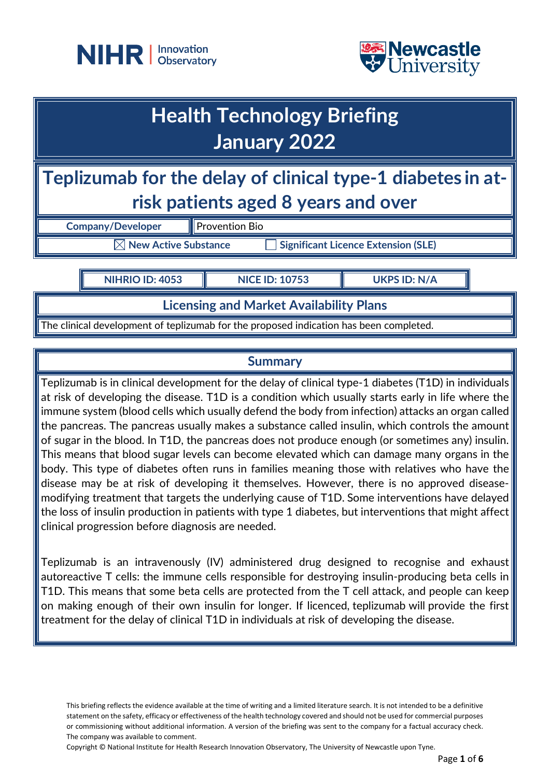



# **Health Technology Briefing January 2022**

**Teplizumab for the delay of clinical type-1 diabetes in atrisk patients aged 8 years and over**

**Company/Developer** Provention Bio

 $\boxed{\times}$  **New Active Substance**  $\boxed{\phantom{a}}$  Significant Licence Extension (SLE)

**NIHRIO ID: 4053 NICE ID: 10753 UKPS ID: N/A**

**Licensing and Market Availability Plans**

The clinical development of teplizumab for the proposed indication has been completed.

## **Summary**

Teplizumab is in clinical development for the delay of clinical type-1 diabetes (T1D) in individuals at risk of developing the disease. T1D is a condition which usually starts early in life where the immune system (blood cells which usually defend the body from infection) attacks an organ called the pancreas. The pancreas usually makes a substance called insulin, which controls the amount of sugar in the blood. In T1D, the pancreas does not produce enough (or sometimes any) insulin. This means that blood sugar levels can become elevated which can damage many organs in the body. This type of diabetes often runs in families meaning those with relatives who have the disease may be at risk of developing it themselves. However, there is no approved diseasemodifying treatment that targets the underlying cause of T1D. Some interventions have delayed the loss of insulin production in patients with type 1 diabetes, but interventions that might affect clinical progression before diagnosis are needed.

Teplizumab is an intravenously (IV) administered drug designed to recognise and exhaust autoreactive T cells: the immune cells responsible for destroying insulin-producing beta cells in T1D. This means that some beta cells are protected from the T cell attack, and people can keep on making enough of their own insulin for longer. If licenced, teplizumab will provide the first treatment for the delay of clinical T1D in individuals at risk of developing the disease.

This briefing reflects the evidence available at the time of writing and a limited literature search. It is not intended to be a definitive statement on the safety, efficacy or effectiveness of the health technology covered and should not be used for commercial purposes or commissioning without additional information. A version of the briefing was sent to the company for a factual accuracy check. The company was available to comment.

Copyright © National Institute for Health Research Innovation Observatory, The University of Newcastle upon Tyne.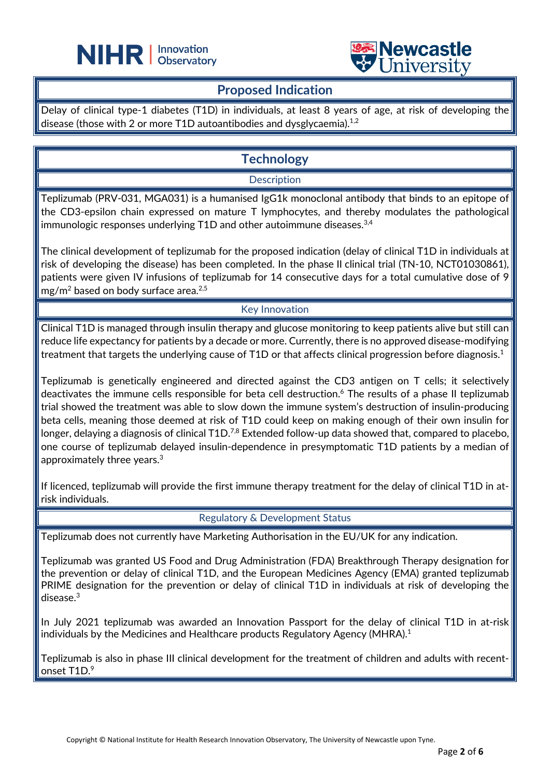

## **Proposed Indication**

L

Delay of clinical type-1 diabetes (T1D) in individuals, at least 8 years of age, at risk of developing the disease (those with 2 or more T1D autoantibodies and dysglycaemia). $^{\rm 1.2}$ 

# **Technology**

**Description** 

Teplizumab (PRV-031, MGA031) is a humanised IgG1k monoclonal antibody that binds to an epitope of the CD3-epsilon chain expressed on mature T lymphocytes, and thereby modulates the pathological immunologic responses underlying T1D and other autoimmune diseases.<sup>3,4</sup>

The clinical development of teplizumab for the proposed indication (delay of clinical T1D in individuals at risk of developing the disease) has been completed. In the phase II clinical trial (TN-10, NCT01030861), patients were given IV infusions of teplizumab for 14 consecutive days for a total cumulative dose of 9 mg/m<sup>2</sup> based on body surface area.<sup>2,5</sup>

#### Key Innovation

Clinical T1D is managed through insulin therapy and glucose monitoring to keep patients alive but still can reduce life expectancy for patients by a decade or more. Currently, there is no approved disease-modifying treatment that targets the underlying cause of T1D or that affects clinical progression before diagnosis. $^{\rm 1}$ 

Teplizumab is genetically engineered and directed against the CD3 antigen on T cells; it selectively deactivates the immune cells responsible for beta cell destruction. <sup>6</sup> The results of a phase II teplizumab trial showed the treatment was able to slow down the immune system's destruction of insulin-producing beta cells, meaning those deemed at risk of T1D could keep on making enough of their own insulin for longer, delaying a diagnosis of clinical T1D. $^{7,8}$  Extended follow-up data showed that, compared to placebo, one course of teplizumab delayed insulin-dependence in presymptomatic T1D patients by a median of approximately three years.3

If licenced, teplizumab will provide the first immune therapy treatment for the delay of clinical T1D in atrisk individuals.

Regulatory & Development Status

Teplizumab does not currently have Marketing Authorisation in the EU/UK for any indication.

Teplizumab was granted US Food and Drug Administration (FDA) Breakthrough Therapy designation for the prevention or delay of clinical T1D, and the European Medicines Agency (EMA) granted teplizumab PRIME designation for the prevention or delay of clinical T1D in individuals at risk of developing the disease.3

In July 2021 teplizumab was awarded an Innovation Passport for the delay of clinical T1D in at-risk individuals by the Medicines and Healthcare products Regulatory Agency (MHRA). 1

Teplizumab is also in phase III clinical development for the treatment of children and adults with recentonset T1D.<sup>9</sup>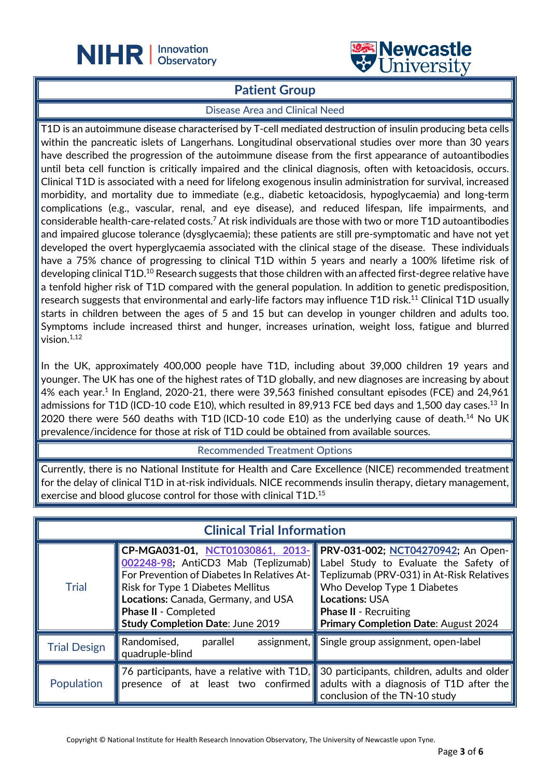

## **Patient Group**

L

#### Disease Area and Clinical Need

T1D is an autoimmune disease characterised by T-cell mediated destruction of insulin producing beta cells within the pancreatic islets of Langerhans. Longitudinal observational studies over more than 30 years have described the progression of the autoimmune disease from the first appearance of autoantibodies until beta cell function is critically impaired and the clinical diagnosis, often with ketoacidosis, occurs. Clinical T1D is associated with a need for lifelong exogenous insulin administration for survival, increased morbidity, and mortality due to immediate (e.g., diabetic ketoacidosis, hypoglycaemia) and long-term complications (e.g., vascular, renal, and eye disease), and reduced lifespan, life impairments, and considerable health-care-related costs. $^7$  At risk individuals are those with two or more T1D autoantibodies and impaired glucose tolerance (dysglycaemia); these patients are still pre-symptomatic and have not yet developed the overt hyperglycaemia associated with the clinical stage of the disease. These individuals have a 75% chance of progressing to clinical T1D within 5 years and nearly a 100% lifetime risk of developing clinical T1D.<sup>10</sup> Research suggests that those children with an affected first-degree relative have a tenfold higher risk of T1D compared with the general population. In addition to genetic predisposition, research suggests that environmental and early-life factors may influence T1D risk.<sup>11</sup> Clinical T1D usually starts in children between the ages of 5 and 15 but can develop in younger children and adults too. Symptoms include increased thirst and hunger, increases urination, weight loss, fatigue and blurred vision.<sup>1,12</sup>

In the UK, approximately 400,000 people have T1D, including about 39,000 children 19 years and younger. The UK has one of the highest rates of T1D globally, and new diagnoses are increasing by about 4% each year.<sup>1</sup> In England, 2020-21, there were 39,563 finished consultant episodes (FCE) and 24,961 admissions for T1D (ICD-10 code E10), which resulted in 89,913 FCE bed days and 1,500 day cases.<sup>13</sup> ln 2020 there were 560 deaths with T1D (ICD-10 code E10) as the underlying cause of death.<sup>14</sup> No UK prevalence/incidence for those at risk of T1D could be obtained from available sources.

#### Recommended Treatment Options

Currently, there is no National Institute for Health and Care Excellence (NICE) recommended treatment for the delay of clinical T1D in at-risk individuals. NICE recommends insulin therapy, dietary management, exercise and blood glucose control for those with clinical T1D. 15

| <b>Clinical Trial Information</b> |                                                                                                                                                                                               |                                                                                                                                                                                                                                                                                                                                                 |  |
|-----------------------------------|-----------------------------------------------------------------------------------------------------------------------------------------------------------------------------------------------|-------------------------------------------------------------------------------------------------------------------------------------------------------------------------------------------------------------------------------------------------------------------------------------------------------------------------------------------------|--|
| <b>Trial</b>                      | CP-MGA031-01, NCT01030861, 2013-<br><b>Risk for Type 1 Diabetes Mellitus</b><br>Locations: Canada, Germany, and USA<br><b>Phase II - Completed</b><br><b>Study Completion Date: June 2019</b> | PRV-031-002; NCT04270942; An Open-<br>002248-98; AntiCD3 Mab (Teplizumab) Label Study to Evaluate the Safety of<br>For Prevention of Diabetes In Relatives At-ITeplizumab (PRV-031) in At-Risk Relatives<br>Who Develop Type 1 Diabetes<br><b>Locations: USA</b><br><b>Phase II - Recruiting</b><br><b>Primary Completion Date: August 2024</b> |  |
| <b>Trial Design</b>               | Randomised,<br>$\sqrt{a}$ assignment,<br>parallel<br>quadruple-blind                                                                                                                          | Single group assignment, open-label                                                                                                                                                                                                                                                                                                             |  |
| Population                        |                                                                                                                                                                                               | 76 participants, have a relative with T1D, 30 participants, children, adults and older<br>presence of at least two confirmed adults with a diagnosis of T1D after the<br>conclusion of the TN-10 study                                                                                                                                          |  |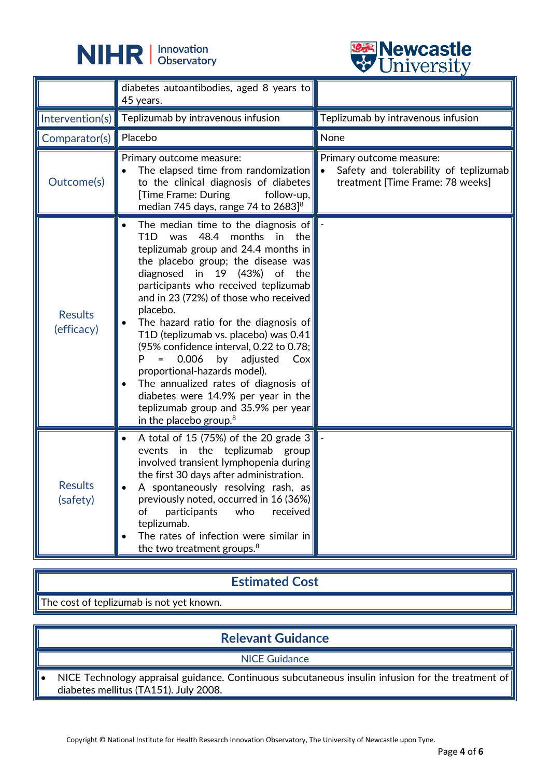



|                              | <b>OTHACLOTO</b>                                                                                                                                                                                                                                                                                                                                                                                                                                                                                                                                                                                                                                          |                                                                                                       |
|------------------------------|-----------------------------------------------------------------------------------------------------------------------------------------------------------------------------------------------------------------------------------------------------------------------------------------------------------------------------------------------------------------------------------------------------------------------------------------------------------------------------------------------------------------------------------------------------------------------------------------------------------------------------------------------------------|-------------------------------------------------------------------------------------------------------|
|                              | diabetes autoantibodies, aged 8 years to<br>45 years.                                                                                                                                                                                                                                                                                                                                                                                                                                                                                                                                                                                                     |                                                                                                       |
| Intervention(s)              | Teplizumab by intravenous infusion                                                                                                                                                                                                                                                                                                                                                                                                                                                                                                                                                                                                                        | Teplizumab by intravenous infusion                                                                    |
| Comparator(s)                | Placebo                                                                                                                                                                                                                                                                                                                                                                                                                                                                                                                                                                                                                                                   | None                                                                                                  |
| Outcome(s)                   | Primary outcome measure:<br>The elapsed time from randomization<br>to the clinical diagnosis of diabetes<br>[Time Frame: During<br>follow-up,<br>median 745 days, range 74 to 2683] <sup>8</sup>                                                                                                                                                                                                                                                                                                                                                                                                                                                          | Primary outcome measure:<br>Safety and tolerability of teplizumab<br>treatment [Time Frame: 78 weeks] |
| <b>Results</b><br>(efficacy) | The median time to the diagnosis of<br>48.4<br>T <sub>1</sub> D<br>was<br>months<br>the<br>in<br>teplizumab group and 24.4 months in<br>the placebo group; the disease was<br>diagnosed in 19 (43%) of the<br>participants who received teplizumab<br>and in 23 (72%) of those who received<br>placebo.<br>The hazard ratio for the diagnosis of<br>T1D (teplizumab vs. placebo) was 0.41<br>(95% confidence interval, 0.22 to 0.78;<br>0.006<br>by<br>adjusted<br>Cox<br>proportional-hazards model).<br>The annualized rates of diagnosis of<br>diabetes were 14.9% per year in the<br>teplizumab group and 35.9% per year<br>in the placebo group. $8$ |                                                                                                       |
| Results<br>(safety)          | A total of 15 (75%) of the 20 grade 3<br>events in the teplizumab group<br>involved transient lymphopenia during<br>the first 30 days after administration.<br>A spontaneously resolving rash, as<br>previously noted, occurred in 16 (36%)<br>participants<br>received<br>of<br>who<br>teplizumab.<br>The rates of infection were similar in<br>the two treatment groups. <sup>8</sup>                                                                                                                                                                                                                                                                   |                                                                                                       |

## **Estimated Cost**

The cost of teplizumab is not yet known.

# **Relevant Guidance**

NICE Guidance

• NICE Technology appraisal guidance. Continuous subcutaneous insulin infusion for the treatment of diabetes mellitus (TA151). July 2008.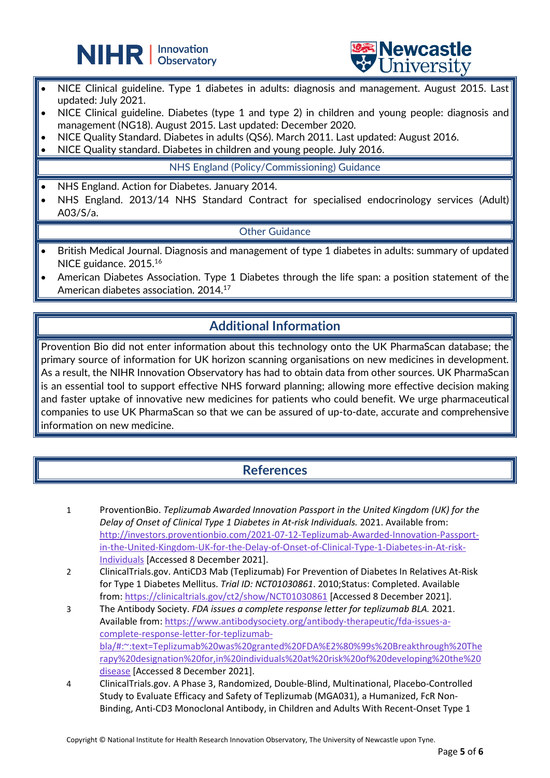



- NICE Clinical guideline. Type 1 diabetes in adults: diagnosis and management. August 2015. Last updated: July 2021.
- NICE Clinical guideline. Diabetes (type 1 and type 2) in children and young people: diagnosis and management (NG18). August 2015. Last updated: December 2020.
- NICE Quality Standard. Diabetes in adults (QS6). March 2011. Last updated: August 2016.
- NICE Quality standard. Diabetes in children and young people. July 2016.

L

NHS England (Policy/Commissioning) Guidance

- NHS England. Action for Diabetes. January 2014.
- NHS England. 2013/14 NHS Standard Contract for specialised endocrinology services (Adult) A03/S/a.

#### Other Guidance

- British Medical Journal. Diagnosis and management of type 1 diabetes in adults: summary of updated NICE guidance. 2015.16
- American Diabetes Association. Type 1 Diabetes through the life span: a position statement of the American diabetes association. 2014.17

# **Additional Information**

Provention Bio did not enter information about this technology onto the UK PharmaScan database; the primary source of information for UK horizon scanning organisations on new medicines in development. As a result, the NIHR Innovation Observatory has had to obtain data from other sources. UK PharmaScan is an essential tool to support effective NHS forward planning; allowing more effective decision making and faster uptake of innovative new medicines for patients who could benefit. We urge pharmaceutical companies to use UK PharmaScan so that we can be assured of up-to-date, accurate and comprehensive information on new medicine.

# **References**

- 1 ProventionBio. *Teplizumab Awarded Innovation Passport in the United Kingdom (UK) for the Delay of Onset of Clinical Type 1 Diabetes in At-risk Individuals.* 2021. Available from: [http://investors.proventionbio.com/2021-07-12-Teplizumab-Awarded-Innovation-Passport](http://investors.proventionbio.com/2021-07-12-Teplizumab-Awarded-Innovation-Passport-in-the-United-Kingdom-UK-for-the-Delay-of-Onset-of-Clinical-Type-1-Diabetes-in-At-risk-Individuals)[in-the-United-Kingdom-UK-for-the-Delay-of-Onset-of-Clinical-Type-1-Diabetes-in-At-risk-](http://investors.proventionbio.com/2021-07-12-Teplizumab-Awarded-Innovation-Passport-in-the-United-Kingdom-UK-for-the-Delay-of-Onset-of-Clinical-Type-1-Diabetes-in-At-risk-Individuals)[Individuals](http://investors.proventionbio.com/2021-07-12-Teplizumab-Awarded-Innovation-Passport-in-the-United-Kingdom-UK-for-the-Delay-of-Onset-of-Clinical-Type-1-Diabetes-in-At-risk-Individuals) [Accessed 8 December 2021].
- 2 ClinicalTrials.gov. AntiCD3 Mab (Teplizumab) For Prevention of Diabetes In Relatives At-Risk for Type 1 Diabetes Mellitus. *Trial ID: NCT01030861*. 2010;Status: Completed. Available from:<https://clinicaltrials.gov/ct2/show/NCT01030861> [Accessed 8 December 2021].
- 3 The Antibody Society. *FDA issues a complete response letter for teplizumab BLA.* 2021. Available from: [https://www.antibodysociety.org/antibody-therapeutic/fda-issues-a](https://www.antibodysociety.org/antibody-therapeutic/fda-issues-a-complete-response-letter-for-teplizumab-bla/#:%7E:text=Teplizumab%20was%20granted%20FDA%E2%80%99s%20Breakthrough%20Therapy%20designation%20for,in%20individuals%20at%20risk%20of%20developing%20the%20disease)[complete-response-letter-for-teplizumab](https://www.antibodysociety.org/antibody-therapeutic/fda-issues-a-complete-response-letter-for-teplizumab-bla/#:%7E:text=Teplizumab%20was%20granted%20FDA%E2%80%99s%20Breakthrough%20Therapy%20designation%20for,in%20individuals%20at%20risk%20of%20developing%20the%20disease)[bla/#:~:text=Teplizumab%20was%20granted%20FDA%E2%80%99s%20Breakthrough%20The](https://www.antibodysociety.org/antibody-therapeutic/fda-issues-a-complete-response-letter-for-teplizumab-bla/#:%7E:text=Teplizumab%20was%20granted%20FDA%E2%80%99s%20Breakthrough%20Therapy%20designation%20for,in%20individuals%20at%20risk%20of%20developing%20the%20disease) [rapy%20designation%20for,in%20individuals%20at%20risk%20of%20developing%20the%20](https://www.antibodysociety.org/antibody-therapeutic/fda-issues-a-complete-response-letter-for-teplizumab-bla/#:%7E:text=Teplizumab%20was%20granted%20FDA%E2%80%99s%20Breakthrough%20Therapy%20designation%20for,in%20individuals%20at%20risk%20of%20developing%20the%20disease) [disease](https://www.antibodysociety.org/antibody-therapeutic/fda-issues-a-complete-response-letter-for-teplizumab-bla/#:%7E:text=Teplizumab%20was%20granted%20FDA%E2%80%99s%20Breakthrough%20Therapy%20designation%20for,in%20individuals%20at%20risk%20of%20developing%20the%20disease) [Accessed 8 December 2021].
- 4 ClinicalTrials.gov. A Phase 3, Randomized, Double-Blind, Multinational, Placebo-Controlled Study to Evaluate Efficacy and Safety of Teplizumab (MGA031), a Humanized, FcR Non-Binding, Anti-CD3 Monoclonal Antibody, in Children and Adults With Recent-Onset Type 1